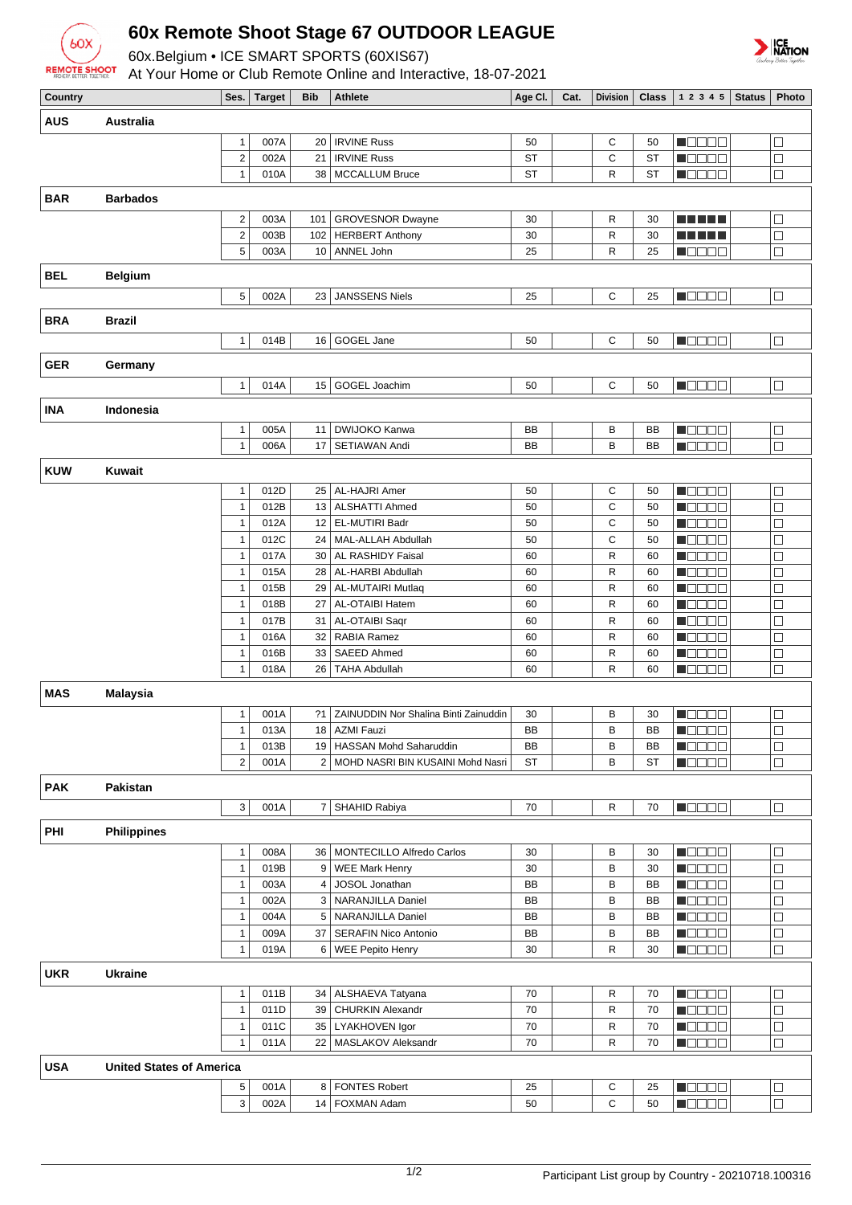

## **60x Remote Shoot Stage 67 OUTDOOR LEAGUE**

60x.Belgium • ICE SMART SPORTS (60XIS67)

At Your Home or Club Remote Online and Interactive, 18-07-2021



ICE<br>NATION